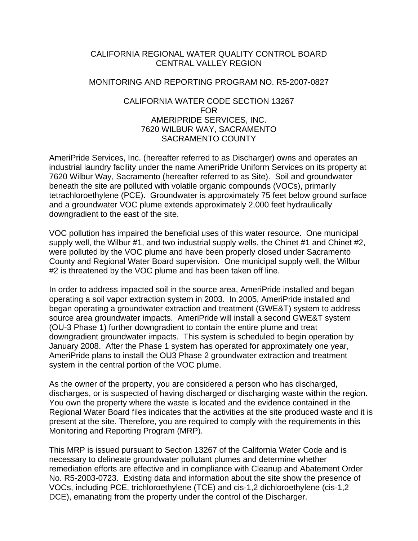### CALIFORNIA REGIONAL WATER QUALITY CONTROL BOARD CENTRAL VALLEY REGION

#### MONITORING AND REPORTING PROGRAM NO. R5-2007-0827

### CALIFORNIA WATER CODE SECTION 13267 FOR AMERIPRIDE SERVICES, INC. 7620 WILBUR WAY, SACRAMENTO SACRAMENTO COUNTY

AmeriPride Services, Inc. (hereafter referred to as Discharger) owns and operates an industrial laundry facility under the name AmeriPride Uniform Services on its property at 7620 Wilbur Way, Sacramento (hereafter referred to as Site). Soil and groundwater beneath the site are polluted with volatile organic compounds (VOCs), primarily tetrachloroethylene (PCE). Groundwater is approximately 75 feet below ground surface and a groundwater VOC plume extends approximately 2,000 feet hydraulically downgradient to the east of the site.

VOC pollution has impaired the beneficial uses of this water resource. One municipal supply well, the Wilbur #1, and two industrial supply wells, the Chinet #1 and Chinet #2, were polluted by the VOC plume and have been properly closed under Sacramento County and Regional Water Board supervision. One municipal supply well, the Wilbur #2 is threatened by the VOC plume and has been taken off line.

In order to address impacted soil in the source area, AmeriPride installed and began operating a soil vapor extraction system in 2003. In 2005, AmeriPride installed and began operating a groundwater extraction and treatment (GWE&T) system to address source area groundwater impacts. AmeriPride will install a second GWE&T system (OU-3 Phase 1) further downgradient to contain the entire plume and treat downgradient groundwater impacts. This system is scheduled to begin operation by January 2008. After the Phase 1 system has operated for approximately one year, AmeriPride plans to install the OU3 Phase 2 groundwater extraction and treatment system in the central portion of the VOC plume.

As the owner of the property, you are considered a person who has discharged, discharges, or is suspected of having discharged or discharging waste within the region. You own the property where the waste is located and the evidence contained in the Regional Water Board files indicates that the activities at the site produced waste and it is present at the site. Therefore, you are required to comply with the requirements in this Monitoring and Reporting Program (MRP).

This MRP is issued pursuant to Section 13267 of the California Water Code and is necessary to delineate groundwater pollutant plumes and determine whether remediation efforts are effective and in compliance with Cleanup and Abatement Order No. R5-2003-0723. Existing data and information about the site show the presence of VOCs, including PCE, trichloroethylene (TCE) and cis-1,2 dichloroethylene (cis-1,2 DCE), emanating from the property under the control of the Discharger.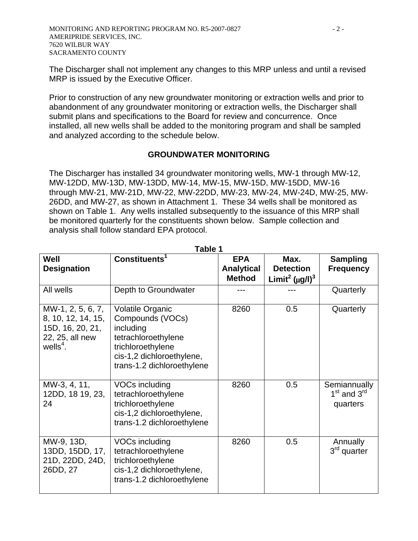The Discharger shall not implement any changes to this MRP unless and until a revised MRP is issued by the Executive Officer.

Prior to construction of any new groundwater monitoring or extraction wells and prior to abandonment of any groundwater monitoring or extraction wells, the Discharger shall submit plans and specifications to the Board for review and concurrence. Once installed, all new wells shall be added to the monitoring program and shall be sampled and analyzed according to the schedule below.

## **GROUNDWATER MONITORING**

The Discharger has installed 34 groundwater monitoring wells, MW-1 through MW-12, MW-12DD, MW-13D, MW-13DD, MW-14, MW-15, MW-15D, MW-15DD, MW-16 through MW-21, MW-21D, MW-22, MW-22DD, MW-23, MW-24, MW-24D, MW-25, MW-26DD, and MW-27, as shown in Attachment 1. These 34 wells shall be monitored as shown on Table 1. Any wells installed subsequently to the issuance of this MRP shall be monitored quarterly for the constituents shown below. Sample collection and analysis shall follow standard EPA protocol.

| Well<br><b>Designation</b>                                                                    | Constituents <sup>1</sup>                                                                                                                                       | <b>EPA</b><br><b>Analytical</b><br><b>Method</b> | Max.<br><b>Detection</b><br>Limit <sup>2</sup> ( $\mu$ g/l) <sup>3</sup> | <b>Sampling</b><br><b>Frequency</b>         |
|-----------------------------------------------------------------------------------------------|-----------------------------------------------------------------------------------------------------------------------------------------------------------------|--------------------------------------------------|--------------------------------------------------------------------------|---------------------------------------------|
| All wells                                                                                     | Depth to Groundwater                                                                                                                                            |                                                  |                                                                          | Quarterly                                   |
| MW-1, 2, 5, 6, 7,<br>8, 10, 12, 14, 15,<br>15D, 16, 20, 21,<br>22, 25, all new<br>wells $4$ . | <b>Volatile Organic</b><br>Compounds (VOCs)<br>including<br>tetrachloroethylene<br>trichloroethylene<br>cis-1,2 dichloroethylene,<br>trans-1.2 dichloroethylene | 8260                                             | 0.5                                                                      | Quarterly                                   |
| MW-3, 4, 11,<br>12DD, 18 19, 23,<br>24                                                        | <b>VOCs including</b><br>tetrachloroethylene<br>trichloroethylene<br>cis-1,2 dichloroethylene,<br>trans-1.2 dichloroethylene                                    | 8260                                             | 0.5                                                                      | Semiannually<br>$1st$ and $3rd$<br>quarters |
| MW-9, 13D,<br>13DD, 15DD, 17,<br>21D, 22DD, 24D,<br>26DD, 27                                  | VOCs including<br>tetrachloroethylene<br>trichloroethylene<br>cis-1,2 dichloroethylene,<br>trans-1.2 dichloroethylene                                           | 8260                                             | 0.5                                                                      | <b>Annually</b><br>$3rd$ quarter            |

**Table 1**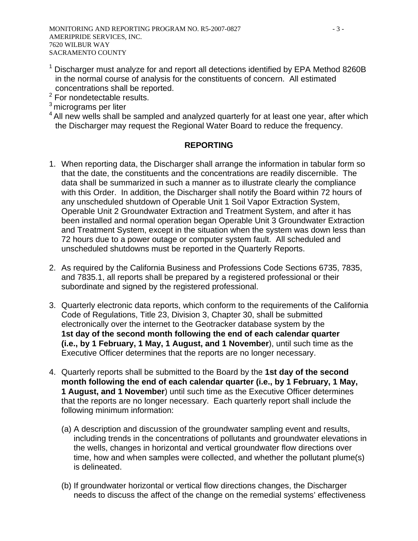- $1$  Discharger must analyze for and report all detections identified by EPA Method 8260B in the normal course of analysis for the constituents of concern. All estimated concentrations shall be reported.
- $2$  For nondetectable results.
- 3 micrograms per liter
- <sup>4</sup> All new wells shall be sampled and analyzed quarterly for at least one year, after which the Discharger may request the Regional Water Board to reduce the frequency.

# **REPORTING**

- 1. When reporting data, the Discharger shall arrange the information in tabular form so that the date, the constituents and the concentrations are readily discernible. The data shall be summarized in such a manner as to illustrate clearly the compliance with this Order. In addition, the Discharger shall notify the Board within 72 hours of any unscheduled shutdown of Operable Unit 1 Soil Vapor Extraction System, Operable Unit 2 Groundwater Extraction and Treatment System, and after it has been installed and normal operation began Operable Unit 3 Groundwater Extraction and Treatment System, except in the situation when the system was down less than 72 hours due to a power outage or computer system fault. All scheduled and unscheduled shutdowns must be reported in the Quarterly Reports.
- 2. As required by the California Business and Professions Code Sections 6735, 7835, and 7835.1, all reports shall be prepared by a registered professional or their subordinate and signed by the registered professional.
- 3. Quarterly electronic data reports, which conform to the requirements of the California Code of Regulations, Title 23, Division 3, Chapter 30, shall be submitted electronically over the internet to the Geotracker database system by the **1st day of the second month following the end of each calendar quarter (i.e., by 1 February, 1 May, 1 August, and 1 November**), until such time as the Executive Officer determines that the reports are no longer necessary.
- 4. Quarterly reports shall be submitted to the Board by the **1st day of the second month following the end of each calendar quarter (i.e., by 1 February, 1 May, 1 August, and 1 November**) until such time as the Executive Officer determines that the reports are no longer necessary. Each quarterly report shall include the following minimum information:
	- (a) A description and discussion of the groundwater sampling event and results, including trends in the concentrations of pollutants and groundwater elevations in the wells, changes in horizontal and vertical groundwater flow directions over time, how and when samples were collected, and whether the pollutant plume(s) is delineated.
	- (b) If groundwater horizontal or vertical flow directions changes, the Discharger needs to discuss the affect of the change on the remedial systems' effectiveness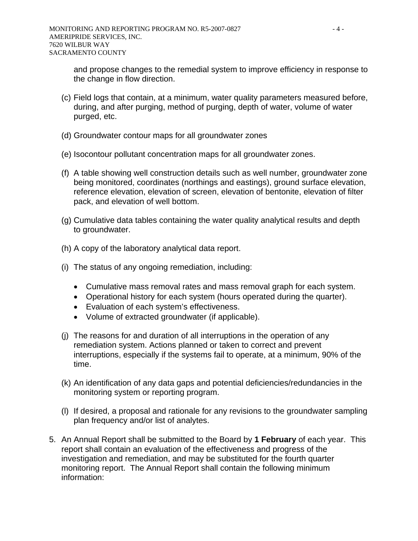and propose changes to the remedial system to improve efficiency in response to the change in flow direction.

- (c) Field logs that contain, at a minimum, water quality parameters measured before, during, and after purging, method of purging, depth of water, volume of water purged, etc.
- (d) Groundwater contour maps for all groundwater zones
- (e) Isocontour pollutant concentration maps for all groundwater zones.
- (f) A table showing well construction details such as well number, groundwater zone being monitored, coordinates (northings and eastings), ground surface elevation, reference elevation, elevation of screen, elevation of bentonite, elevation of filter pack, and elevation of well bottom.
- (g) Cumulative data tables containing the water quality analytical results and depth to groundwater.
- (h) A copy of the laboratory analytical data report.
- (i) The status of any ongoing remediation, including:
	- Cumulative mass removal rates and mass removal graph for each system.
	- Operational history for each system (hours operated during the quarter).
	- Evaluation of each system's effectiveness.
	- Volume of extracted groundwater (if applicable).
- (j) The reasons for and duration of all interruptions in the operation of any remediation system. Actions planned or taken to correct and prevent interruptions, especially if the systems fail to operate, at a minimum, 90% of the time.
- (k) An identification of any data gaps and potential deficiencies/redundancies in the monitoring system or reporting program.
- (l) If desired, a proposal and rationale for any revisions to the groundwater sampling plan frequency and/or list of analytes.
- 5. An Annual Report shall be submitted to the Board by **1 February** of each year. This report shall contain an evaluation of the effectiveness and progress of the investigation and remediation, and may be substituted for the fourth quarter monitoring report. The Annual Report shall contain the following minimum information: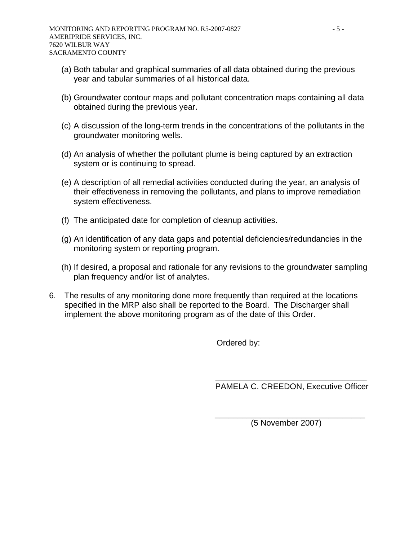- (a) Both tabular and graphical summaries of all data obtained during the previous year and tabular summaries of all historical data.
- (b) Groundwater contour maps and pollutant concentration maps containing all data obtained during the previous year.
- (c) A discussion of the long-term trends in the concentrations of the pollutants in the groundwater monitoring wells.
- (d) An analysis of whether the pollutant plume is being captured by an extraction system or is continuing to spread.
- (e) A description of all remedial activities conducted during the year, an analysis of their effectiveness in removing the pollutants, and plans to improve remediation system effectiveness.
- (f) The anticipated date for completion of cleanup activities.
- (g) An identification of any data gaps and potential deficiencies/redundancies in the monitoring system or reporting program.
- (h) If desired, a proposal and rationale for any revisions to the groundwater sampling plan frequency and/or list of analytes.
- 6. The results of any monitoring done more frequently than required at the locations specified in the MRP also shall be reported to the Board. The Discharger shall implement the above monitoring program as of the date of this Order.

 $\overline{\phantom{a}}$  , and the contract of the contract of the contract of the contract of the contract of the contract of the contract of the contract of the contract of the contract of the contract of the contract of the contrac

Ordered by:

PAMELA C. CREEDON, Executive Officer

(5 November 2007)

 $\frac{1}{\sqrt{2}}$  ,  $\frac{1}{\sqrt{2}}$  ,  $\frac{1}{\sqrt{2}}$  ,  $\frac{1}{\sqrt{2}}$  ,  $\frac{1}{\sqrt{2}}$  ,  $\frac{1}{\sqrt{2}}$  ,  $\frac{1}{\sqrt{2}}$  ,  $\frac{1}{\sqrt{2}}$  ,  $\frac{1}{\sqrt{2}}$  ,  $\frac{1}{\sqrt{2}}$  ,  $\frac{1}{\sqrt{2}}$  ,  $\frac{1}{\sqrt{2}}$  ,  $\frac{1}{\sqrt{2}}$  ,  $\frac{1}{\sqrt{2}}$  ,  $\frac{1}{\sqrt{2}}$